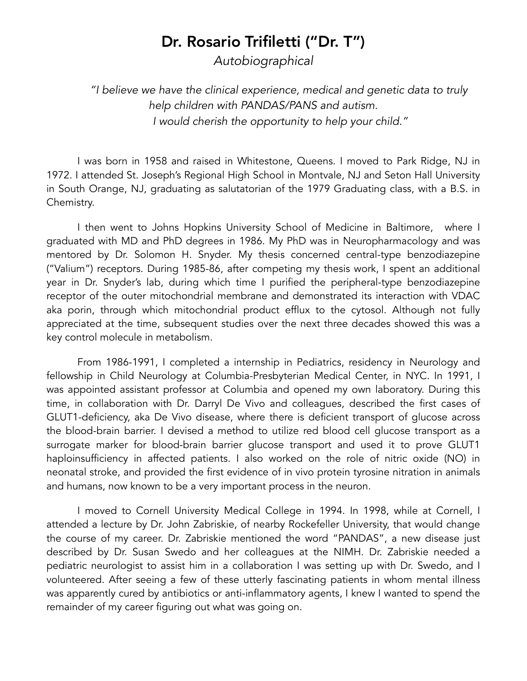## Dr. Rosario Trifiletti ("Dr. T")

*Autobiographical* 

*"I believe we have the clinical experience, medical and genetic data to truly help children with PANDAS/PANS and autism. I would cherish the opportunity to help your child."* 

I was born in 1958 and raised in Whitestone, Queens. I moved to Park Ridge, NJ in 1972. I attended St. Joseph's Regional High School in Montvale, NJ and Seton Hall University in South Orange, NJ, graduating as salutatorian of the 1979 Graduating class, with a B.S. in Chemistry.

I then went to Johns Hopkins University School of Medicine in Baltimore, where I graduated with MD and PhD degrees in 1986. My PhD was in Neuropharmacology and was mentored by Dr. Solomon H. Snyder. My thesis concerned central-type benzodiazepine ("Valium") receptors. During 1985-86, after competing my thesis work, I spent an additional year in Dr. Snyder's lab, during which time I purified the peripheral-type benzodiazepine receptor of the outer mitochondrial membrane and demonstrated its interaction with VDAC aka porin, through which mitochondrial product efflux to the cytosol. Although not fully appreciated at the time, subsequent studies over the next three decades showed this was a key control molecule in metabolism.

From 1986-1991, I completed a internship in Pediatrics, residency in Neurology and fellowship in Child Neurology at Columbia-Presbyterian Medical Center, in NYC. In 1991, I was appointed assistant professor at Columbia and opened my own laboratory. During this time, in collaboration with Dr. Darryl De Vivo and colleagues, described the first cases of GLUT1-deficiency, aka De Vivo disease, where there is deficient transport of glucose across the blood-brain barrier. I devised a method to utilize red blood cell glucose transport as a surrogate marker for blood-brain barrier glucose transport and used it to prove GLUT1 haploinsufficiency in affected patients. I also worked on the role of nitric oxide (NO) in neonatal stroke, and provided the first evidence of in vivo protein tyrosine nitration in animals and humans, now known to be a very important process in the neuron.

I moved to Cornell University Medical College in 1994. In 1998, while at Cornell, I attended a lecture by Dr. John Zabriskie, of nearby Rockefeller University, that would change the course of my career. Dr. Zabriskie mentioned the word "PANDAS", a new disease just described by Dr. Susan Swedo and her colleagues at the NIMH. Dr. Zabriskie needed a pediatric neurologist to assist him in a collaboration I was setting up with Dr. Swedo, and I volunteered. After seeing a few of these utterly fascinating patients in whom mental illness was apparently cured by antibiotics or anti-inflammatory agents, I knew I wanted to spend the remainder of my career figuring out what was going on.